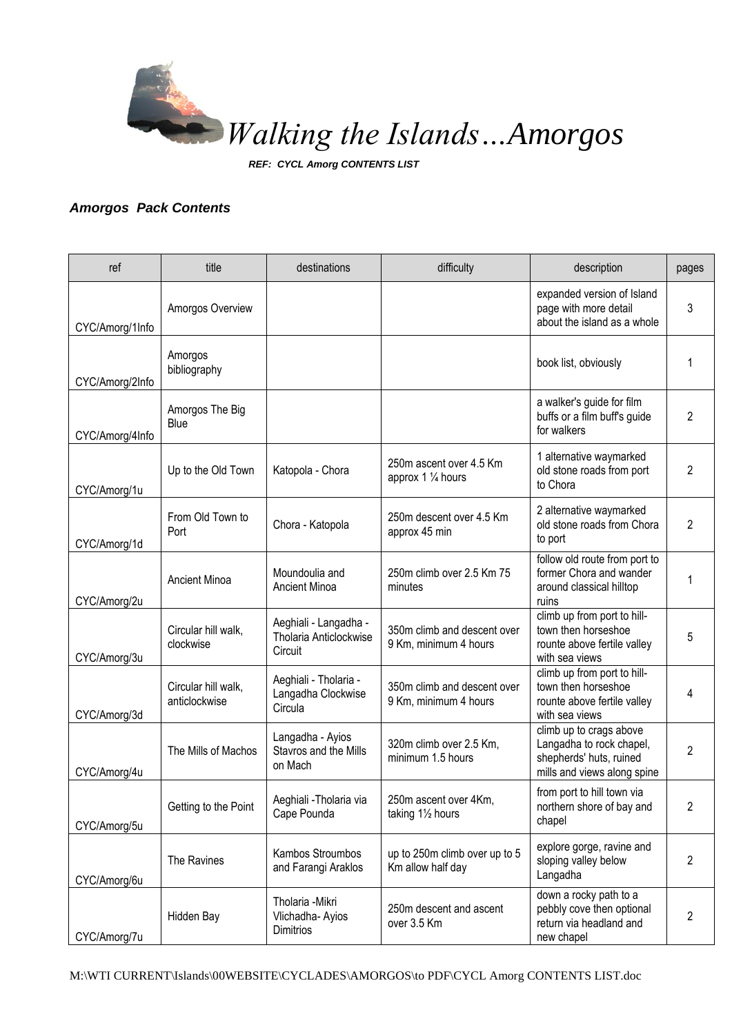

*REF: CYCL Amorg CONTENTS LIST*

## *Amorgos Pack Contents*

| ref             | title                                | destinations                                               | difficulty                                           | description                                                                                                   | pages          |
|-----------------|--------------------------------------|------------------------------------------------------------|------------------------------------------------------|---------------------------------------------------------------------------------------------------------------|----------------|
| CYC/Amorg/1Info | Amorgos Overview                     |                                                            |                                                      | expanded version of Island<br>page with more detail<br>about the island as a whole                            | 3              |
| CYC/Amorg/2Info | Amorgos<br>bibliography              |                                                            |                                                      | book list, obviously                                                                                          | 1              |
| CYC/Amorg/4Info | Amorgos The Big<br>Blue              |                                                            |                                                      | a walker's guide for film<br>buffs or a film buff's guide<br>for walkers                                      | 2              |
| CYC/Amorg/1u    | Up to the Old Town                   | Katopola - Chora                                           | 250m ascent over 4.5 Km<br>approx 1 1/4 hours        | 1 alternative waymarked<br>old stone roads from port<br>to Chora                                              | $\overline{2}$ |
| CYC/Amorg/1d    | From Old Town to<br>Port             | Chora - Katopola                                           | 250m descent over 4.5 Km<br>approx 45 min            | 2 alternative waymarked<br>old stone roads from Chora<br>to port                                              | 2              |
| CYC/Amorg/2u    | <b>Ancient Minoa</b>                 | Moundoulia and<br>Ancient Minoa                            | 250m climb over 2.5 Km 75<br>minutes                 | follow old route from port to<br>former Chora and wander<br>around classical hilltop<br>ruins                 | 1              |
| CYC/Amorg/3u    | Circular hill walk,<br>clockwise     | Aeghiali - Langadha -<br>Tholaria Anticlockwise<br>Circuit | 350m climb and descent over<br>9 Km, minimum 4 hours | climb up from port to hill-<br>town then horseshoe<br>rounte above fertile valley<br>with sea views           | 5              |
| CYC/Amorg/3d    | Circular hill walk,<br>anticlockwise | Aeghiali - Tholaria -<br>Langadha Clockwise<br>Circula     | 350m climb and descent over<br>9 Km, minimum 4 hours | climb up from port to hill-<br>town then horseshoe<br>rounte above fertile valley<br>with sea views           | 4              |
| CYC/Amorg/4u    | The Mills of Machos                  | Langadha - Ayios<br>Stavros and the Mills<br>on Mach       | 320m climb over 2.5 Km,<br>minimum 1.5 hours         | climb up to crags above<br>Langadha to rock chapel,<br>shepherds' huts, ruined<br>mills and views along spine | $\overline{2}$ |
| CYC/Amorg/5u    | Getting to the Point                 | Aeghiali - Tholaria via<br>Cape Pounda                     | 250m ascent over 4Km,<br>taking 11/2 hours           | from port to hill town via<br>northern shore of bay and<br>chapel                                             | 2              |
| CYC/Amorg/6u    | The Ravines                          | Kambos Stroumbos<br>and Farangi Araklos                    | up to 250m climb over up to 5<br>Km allow half day   | explore gorge, ravine and<br>sloping valley below<br>Langadha                                                 | 2              |
| CYC/Amorg/7u    | Hidden Bay                           | Tholaria - Mikri<br>Vlichadha- Ayios<br>Dimitrios          | 250m descent and ascent<br>over 3.5 Km               | down a rocky path to a<br>pebbly cove then optional<br>return via headland and<br>new chapel                  | 2              |